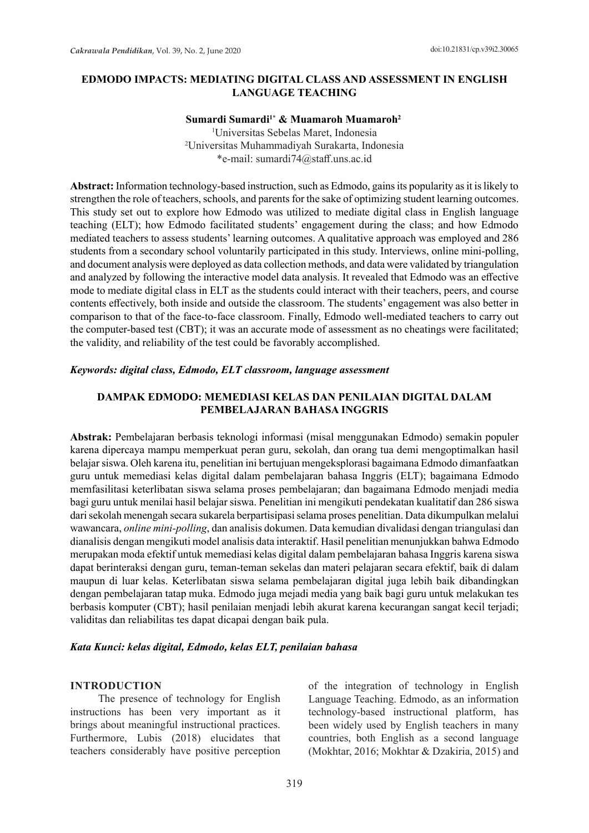## **EDMODO IMPACTS: MEDIATING DIGITAL CLASS AND ASSESSMENT IN ENGLISH LANGUAGE TEACHING**

#### **Sumardi Sumardi1\* & Muamaroh Muamaroh2**

1 Universitas Sebelas Maret, Indonesia 2 Universitas Muhammadiyah Surakarta, Indonesia \*e-mail: sumardi74@staff.uns.ac.id

**Abstract:** Information technology-based instruction, such as Edmodo, gains its popularity as it is likely to strengthen the role of teachers, schools, and parents for the sake of optimizing student learning outcomes. This study set out to explore how Edmodo was utilized to mediate digital class in English language teaching (ELT); how Edmodo facilitated students' engagement during the class; and how Edmodo mediated teachers to assess students' learning outcomes. A qualitative approach was employed and 286 students from a secondary school voluntarily participated in this study. Interviews, online mini-polling, and document analysis were deployed as data collection methods, and data were validated by triangulation and analyzed by following the interactive model data analysis. It revealed that Edmodo was an effective mode to mediate digital class in ELT as the students could interact with their teachers, peers, and course contents effectively, both inside and outside the classroom. The students' engagement was also better in comparison to that of the face-to-face classroom. Finally, Edmodo well-mediated teachers to carry out the computer-based test (CBT); it was an accurate mode of assessment as no cheatings were facilitated; the validity, and reliability of the test could be favorably accomplished.

#### *Keywords: digital class, Edmodo, ELT classroom, language assessment*

#### **DAMPAK EDMODO: MEMEDIASI KELAS DAN PENILAIAN DIGITAL DALAM PEMBELAJARAN BAHASA INGGRIS**

**Abstrak:** Pembelajaran berbasis teknologi informasi (misal menggunakan Edmodo) semakin populer karena dipercaya mampu memperkuat peran guru, sekolah, dan orang tua demi mengoptimalkan hasil belajar siswa. Oleh karena itu, penelitian ini bertujuan mengeksplorasi bagaimana Edmodo dimanfaatkan guru untuk memediasi kelas digital dalam pembelajaran bahasa Inggris (ELT); bagaimana Edmodo memfasilitasi keterlibatan siswa selama proses pembelajaran; dan bagaimana Edmodo menjadi media bagi guru untuk menilai hasil belajar siswa. Penelitian ini mengikuti pendekatan kualitatif dan 286 siswa dari sekolah menengah secara sukarela berpartisipasi selama proses penelitian. Data dikumpulkan melalui wawancara, *online mini-polling*, dan analisis dokumen. Data kemudian divalidasi dengan triangulasi dan dianalisis dengan mengikuti model analisis data interaktif. Hasil penelitian menunjukkan bahwa Edmodo merupakan moda efektif untuk memediasi kelas digital dalam pembelajaran bahasa Inggris karena siswa dapat berinteraksi dengan guru, teman-teman sekelas dan materi pelajaran secara efektif, baik di dalam maupun di luar kelas. Keterlibatan siswa selama pembelajaran digital juga lebih baik dibandingkan dengan pembelajaran tatap muka. Edmodo juga mejadi media yang baik bagi guru untuk melakukan tes berbasis komputer (CBT); hasil penilaian menjadi lebih akurat karena kecurangan sangat kecil terjadi; validitas dan reliabilitas tes dapat dicapai dengan baik pula.

#### *Kata Kunci: kelas digital, Edmodo, kelas ELT, penilaian bahasa*

#### **INTRODUCTION**

The presence of technology for English instructions has been very important as it brings about meaningful instructional practices. Furthermore, Lubis (2018) elucidates that teachers considerably have positive perception of the integration of technology in English Language Teaching. Edmodo, as an information technology-based instructional platform, has been widely used by English teachers in many countries, both English as a second language (Mokhtar, 2016; Mokhtar & Dzakiria, 2015) and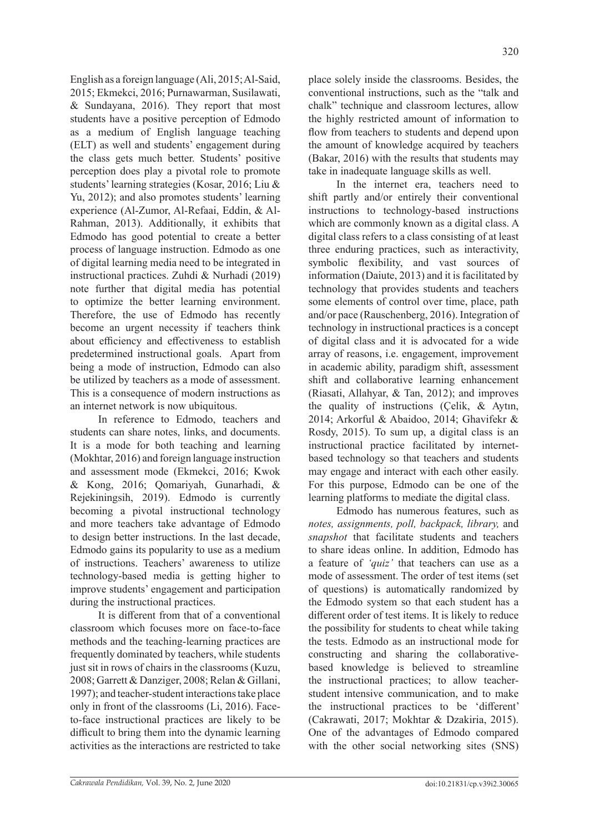English as a foreign language (Ali, 2015; Al-Said, 2015; Ekmekci, 2016; Purnawarman, Susilawati, & Sundayana, 2016). They report that most students have a positive perception of Edmodo as a medium of English language teaching (ELT) as well and students' engagement during the class gets much better. Students' positive perception does play a pivotal role to promote students' learning strategies (Kosar, 2016; Liu & Yu, 2012); and also promotes students' learning experience (Al-Zumor, Al-Refaai, Eddin, & Al-Rahman, 2013). Additionally, it exhibits that Edmodo has good potential to create a better process of language instruction. Edmodo as one of digital learning media need to be integrated in instructional practices. Zuhdi & Nurhadi (2019) note further that digital media has potential to optimize the better learning environment. Therefore, the use of Edmodo has recently become an urgent necessity if teachers think about efficiency and effectiveness to establish predetermined instructional goals. Apart from being a mode of instruction, Edmodo can also be utilized by teachers as a mode of assessment. This is a consequence of modern instructions as an internet network is now ubiquitous.

In reference to Edmodo, teachers and students can share notes, links, and documents. It is a mode for both teaching and learning (Mokhtar, 2016) and foreign language instruction and assessment mode (Ekmekci, 2016; Kwok & Kong, 2016; Qomariyah, Gunarhadi, & Rejekiningsih, 2019). Edmodo is currently becoming a pivotal instructional technology and more teachers take advantage of Edmodo to design better instructions. In the last decade, Edmodo gains its popularity to use as a medium of instructions. Teachers' awareness to utilize technology-based media is getting higher to improve students' engagement and participation during the instructional practices.

It is different from that of a conventional classroom which focuses more on face-to-face methods and the teaching-learning practices are frequently dominated by teachers, while students just sit in rows of chairs in the classrooms (Kuzu, 2008; Garrett & Danziger, 2008; Relan & Gillani, 1997); and teacher-student interactions take place only in front of the classrooms (Li, 2016). Faceto-face instructional practices are likely to be difficult to bring them into the dynamic learning activities as the interactions are restricted to take

place solely inside the classrooms. Besides, the conventional instructions, such as the "talk and chalk" technique and classroom lectures, allow the highly restricted amount of information to flow from teachers to students and depend upon the amount of knowledge acquired by teachers (Bakar, 2016) with the results that students may take in inadequate language skills as well.

In the internet era, teachers need to shift partly and/or entirely their conventional instructions to technology-based instructions which are commonly known as a digital class. A digital class refers to a class consisting of at least three enduring practices, such as interactivity, symbolic flexibility, and vast sources of information (Daiute, 2013) and it is facilitated by technology that provides students and teachers some elements of control over time, place, path and/or pace (Rauschenberg, 2016). Integration of technology in instructional practices is a concept of digital class and it is advocated for a wide array of reasons, i.e. engagement, improvement in academic ability, paradigm shift, assessment shift and collaborative learning enhancement (Riasati, Allahyar, & Tan, 2012); and improves the quality of instructions (Çelik, & Aytın, 2014; Arkorful & Abaidoo, 2014; Ghavifekr & Rosdy, 2015). To sum up, a digital class is an instructional practice facilitated by internetbased technology so that teachers and students may engage and interact with each other easily. For this purpose, Edmodo can be one of the learning platforms to mediate the digital class.

Edmodo has numerous features, such as *notes, assignments, poll, backpack, library,* and *snapshot* that facilitate students and teachers to share ideas online. In addition, Edmodo has a feature of *'quiz'* that teachers can use as a mode of assessment. The order of test items (set of questions) is automatically randomized by the Edmodo system so that each student has a different order of test items. It is likely to reduce the possibility for students to cheat while taking the tests. Edmodo as an instructional mode for constructing and sharing the collaborativebased knowledge is believed to streamline the instructional practices; to allow teacherstudent intensive communication, and to make the instructional practices to be 'different' (Cakrawati, 2017; Mokhtar & Dzakiria, 2015). One of the advantages of Edmodo compared with the other social networking sites (SNS)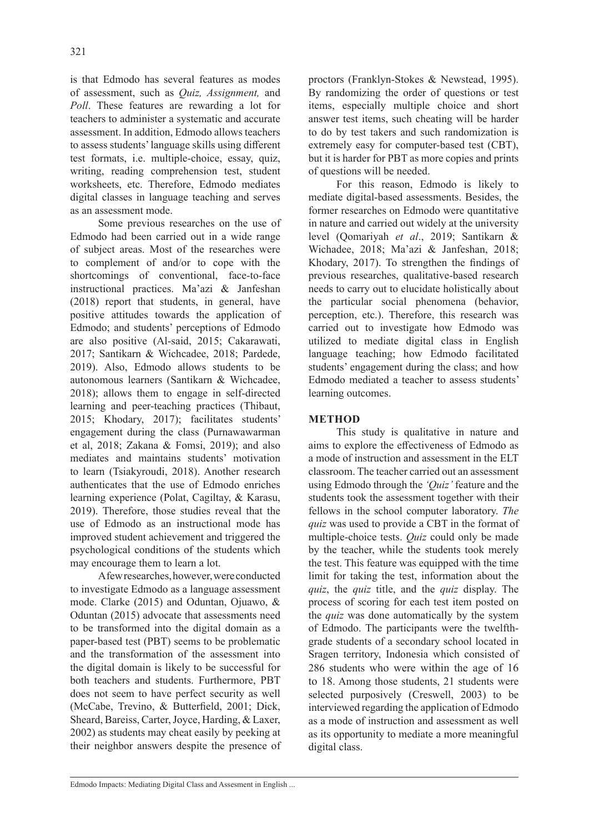is that Edmodo has several features as modes of assessment, such as *Quiz, Assignment,* and *Poll*. These features are rewarding a lot for teachers to administer a systematic and accurate assessment. In addition, Edmodo allows teachers to assess students' language skills using different test formats, i.e. multiple-choice, essay, quiz, writing, reading comprehension test, student worksheets, etc. Therefore, Edmodo mediates digital classes in language teaching and serves as an assessment mode.

Some previous researches on the use of Edmodo had been carried out in a wide range of subject areas. Most of the researches were to complement of and/or to cope with the shortcomings of conventional, face-to-face instructional practices. Ma'azi & Janfeshan (2018) report that students, in general, have positive attitudes towards the application of Edmodo; and students' perceptions of Edmodo are also positive (Al-said, 2015; Cakarawati, 2017; Santikarn & Wichcadee, 2018; Pardede, 2019). Also, Edmodo allows students to be autonomous learners (Santikarn & Wichcadee, 2018); allows them to engage in self-directed learning and peer-teaching practices (Thibaut, 2015; Khodary, 2017); facilitates students' engagement during the class (Purnawawarman et al, 2018; Zakana & Fomsi, 2019); and also mediates and maintains students' motivation to learn (Tsiakyroudi, 2018). Another research authenticates that the use of Edmodo enriches learning experience (Polat, Cagiltay, & Karasu, 2019). Therefore, those studies reveal that the use of Edmodo as an instructional mode has improved student achievement and triggered the psychological conditions of the students which may encourage them to learn a lot.

A few researches, however, were conducted to investigate Edmodo as a language assessment mode. Clarke (2015) and Oduntan, Ojuawo, & Oduntan (2015) advocate that assessments need to be transformed into the digital domain as a paper-based test (PBT) seems to be problematic and the transformation of the assessment into the digital domain is likely to be successful for both teachers and students. Furthermore, PBT does not seem to have perfect security as well (McCabe, Trevino, & Butterfield, 2001; Dick, Sheard, Bareiss, Carter, Joyce, Harding, & Laxer, 2002) as students may cheat easily by peeking at their neighbor answers despite the presence of proctors (Franklyn-Stokes & Newstead, 1995). By randomizing the order of questions or test items, especially multiple choice and short answer test items, such cheating will be harder to do by test takers and such randomization is extremely easy for computer-based test (CBT), but it is harder for PBT as more copies and prints of questions will be needed.

For this reason, Edmodo is likely to mediate digital-based assessments. Besides, the former researches on Edmodo were quantitative in nature and carried out widely at the university level (Qomariyah *et al*., 2019; Santikarn & Wichadee, 2018; Ma'azi & Janfeshan, 2018; Khodary, 2017). To strengthen the findings of previous researches, qualitative-based research needs to carry out to elucidate holistically about the particular social phenomena (behavior, perception, etc.). Therefore, this research was carried out to investigate how Edmodo was utilized to mediate digital class in English language teaching; how Edmodo facilitated students' engagement during the class; and how Edmodo mediated a teacher to assess students' learning outcomes.

# **METHOD**

This study is qualitative in nature and aims to explore the effectiveness of Edmodo as a mode of instruction and assessment in the ELT classroom. The teacher carried out an assessment using Edmodo through the *'Quiz'* feature and the students took the assessment together with their fellows in the school computer laboratory. *The quiz* was used to provide a CBT in the format of multiple-choice tests. *Quiz* could only be made by the teacher, while the students took merely the test. This feature was equipped with the time limit for taking the test, information about the *quiz*, the *quiz* title, and the *quiz* display. The process of scoring for each test item posted on the *quiz* was done automatically by the system of Edmodo. The participants were the twelfthgrade students of a secondary school located in Sragen territory, Indonesia which consisted of 286 students who were within the age of 16 to 18. Among those students, 21 students were selected purposively (Creswell, 2003) to be interviewed regarding the application of Edmodo as a mode of instruction and assessment as well as its opportunity to mediate a more meaningful digital class.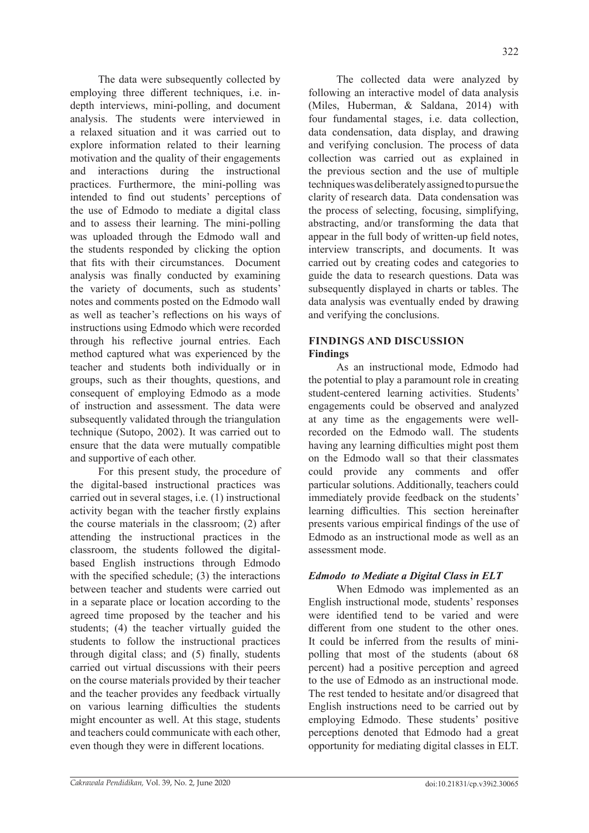The data were subsequently collected by employing three different techniques, i.e. indepth interviews, mini-polling, and document analysis. The students were interviewed in a relaxed situation and it was carried out to explore information related to their learning motivation and the quality of their engagements and interactions during the instructional practices. Furthermore, the mini-polling was intended to find out students' perceptions of the use of Edmodo to mediate a digital class and to assess their learning. The mini-polling was uploaded through the Edmodo wall and the students responded by clicking the option that fits with their circumstances. Document analysis was finally conducted by examining the variety of documents, such as students' notes and comments posted on the Edmodo wall as well as teacher's reflections on his ways of instructions using Edmodo which were recorded through his reflective journal entries. Each method captured what was experienced by the teacher and students both individually or in groups, such as their thoughts, questions, and consequent of employing Edmodo as a mode of instruction and assessment. The data were subsequently validated through the triangulation technique (Sutopo, 2002). It was carried out to ensure that the data were mutually compatible and supportive of each other.

For this present study, the procedure of the digital-based instructional practices was carried out in several stages, i.e. (1) instructional activity began with the teacher firstly explains the course materials in the classroom; (2) after attending the instructional practices in the classroom, the students followed the digitalbased English instructions through Edmodo with the specified schedule; (3) the interactions between teacher and students were carried out in a separate place or location according to the agreed time proposed by the teacher and his students; (4) the teacher virtually guided the students to follow the instructional practices through digital class; and (5) finally, students carried out virtual discussions with their peers on the course materials provided by their teacher and the teacher provides any feedback virtually on various learning difficulties the students might encounter as well. At this stage, students and teachers could communicate with each other, even though they were in different locations.

The collected data were analyzed by following an interactive model of data analysis (Miles, Huberman, & Saldana, 2014) with four fundamental stages, i.e. data collection, data condensation, data display, and drawing and verifying conclusion. The process of data collection was carried out as explained in the previous section and the use of multiple techniques was deliberately assigned to pursue the clarity of research data. Data condensation was the process of selecting, focusing, simplifying, abstracting, and/or transforming the data that appear in the full body of written-up field notes, interview transcripts, and documents. It was carried out by creating codes and categories to guide the data to research questions. Data was subsequently displayed in charts or tables. The data analysis was eventually ended by drawing and verifying the conclusions.

# **FINDINGS AND DISCUSSION Findings**

As an instructional mode, Edmodo had the potential to play a paramount role in creating student-centered learning activities. Students' engagements could be observed and analyzed at any time as the engagements were wellrecorded on the Edmodo wall. The students having any learning difficulties might post them on the Edmodo wall so that their classmates could provide any comments and offer particular solutions. Additionally, teachers could immediately provide feedback on the students' learning difficulties. This section hereinafter presents various empirical findings of the use of Edmodo as an instructional mode as well as an assessment mode.

# *Edmodo to Mediate a Digital Class in ELT*

When Edmodo was implemented as an English instructional mode, students' responses were identified tend to be varied and were different from one student to the other ones. It could be inferred from the results of minipolling that most of the students (about 68 percent) had a positive perception and agreed to the use of Edmodo as an instructional mode. The rest tended to hesitate and/or disagreed that English instructions need to be carried out by employing Edmodo. These students' positive perceptions denoted that Edmodo had a great opportunity for mediating digital classes in ELT.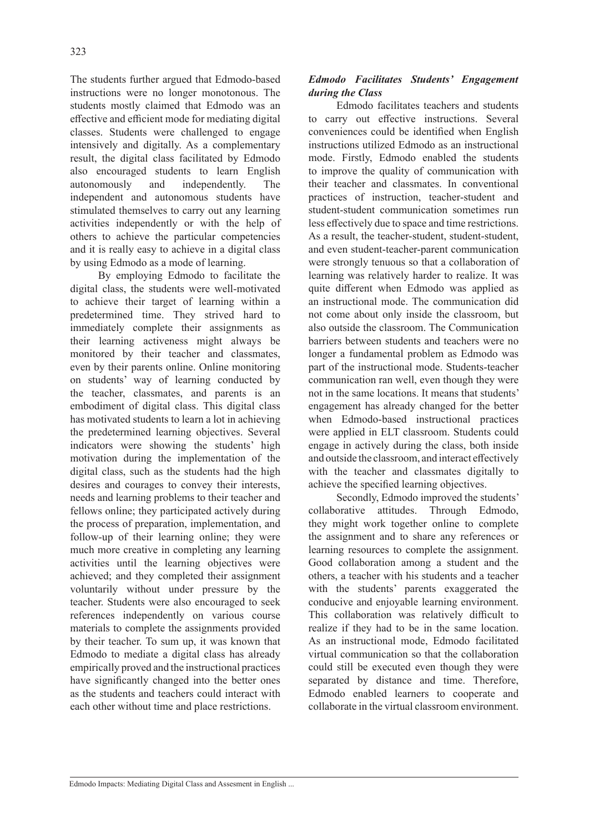The students further argued that Edmodo-based instructions were no longer monotonous. The students mostly claimed that Edmodo was an effective and efficient mode for mediating digital classes. Students were challenged to engage intensively and digitally. As a complementary result, the digital class facilitated by Edmodo also encouraged students to learn English autonomously and independently. The independent and autonomous students have stimulated themselves to carry out any learning activities independently or with the help of others to achieve the particular competencies and it is really easy to achieve in a digital class by using Edmodo as a mode of learning.

By employing Edmodo to facilitate the digital class, the students were well-motivated to achieve their target of learning within a predetermined time. They strived hard to immediately complete their assignments as their learning activeness might always be monitored by their teacher and classmates, even by their parents online. Online monitoring on students' way of learning conducted by the teacher, classmates, and parents is an embodiment of digital class. This digital class has motivated students to learn a lot in achieving the predetermined learning objectives. Several indicators were showing the students' high motivation during the implementation of the digital class, such as the students had the high desires and courages to convey their interests, needs and learning problems to their teacher and fellows online; they participated actively during the process of preparation, implementation, and follow-up of their learning online; they were much more creative in completing any learning activities until the learning objectives were achieved; and they completed their assignment voluntarily without under pressure by the teacher. Students were also encouraged to seek references independently on various course materials to complete the assignments provided by their teacher. To sum up, it was known that Edmodo to mediate a digital class has already empirically proved and the instructional practices have significantly changed into the better ones as the students and teachers could interact with each other without time and place restrictions.

# *Edmodo Facilitates Students' Engagement during the Class*

Edmodo facilitates teachers and students to carry out effective instructions. Several conveniences could be identified when English instructions utilized Edmodo as an instructional mode. Firstly, Edmodo enabled the students to improve the quality of communication with their teacher and classmates. In conventional practices of instruction, teacher-student and student-student communication sometimes run less effectively due to space and time restrictions. As a result, the teacher-student, student-student, and even student-teacher-parent communication were strongly tenuous so that a collaboration of learning was relatively harder to realize. It was quite different when Edmodo was applied as an instructional mode. The communication did not come about only inside the classroom, but also outside the classroom. The Communication barriers between students and teachers were no longer a fundamental problem as Edmodo was part of the instructional mode. Students-teacher communication ran well, even though they were not in the same locations. It means that students' engagement has already changed for the better when Edmodo-based instructional practices were applied in ELT classroom. Students could engage in actively during the class, both inside and outside the classroom, and interact effectively with the teacher and classmates digitally to achieve the specified learning objectives.

Secondly, Edmodo improved the students' collaborative attitudes. Through Edmodo, they might work together online to complete the assignment and to share any references or learning resources to complete the assignment. Good collaboration among a student and the others, a teacher with his students and a teacher with the students' parents exaggerated the conducive and enjoyable learning environment. This collaboration was relatively difficult to realize if they had to be in the same location. As an instructional mode, Edmodo facilitated virtual communication so that the collaboration could still be executed even though they were separated by distance and time. Therefore, Edmodo enabled learners to cooperate and collaborate in the virtual classroom environment.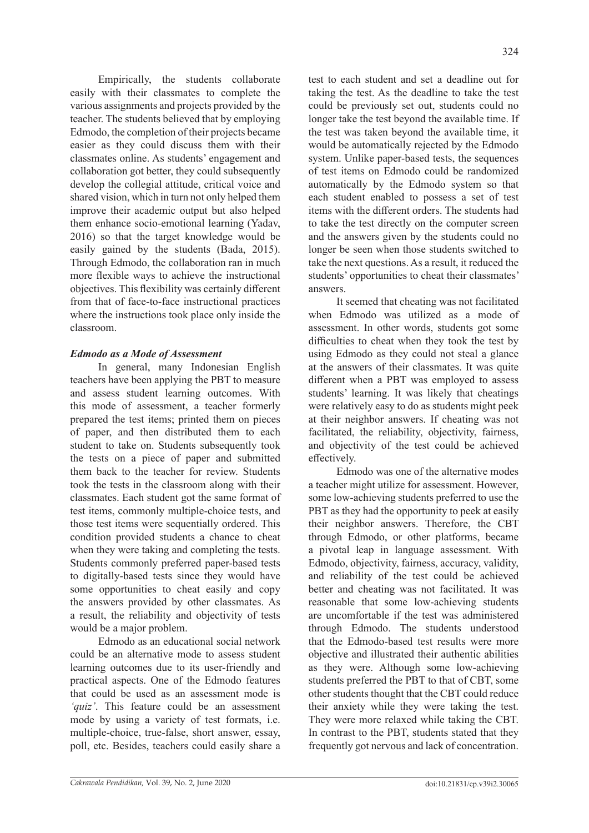test to each student and set a deadline out for

Empirically, the students collaborate easily with their classmates to complete the various assignments and projects provided by the teacher. The students believed that by employing Edmodo, the completion of their projects became easier as they could discuss them with their classmates online. As students' engagement and collaboration got better, they could subsequently develop the collegial attitude, critical voice and shared vision, which in turn not only helped them improve their academic output but also helped them enhance socio-emotional learning (Yadav, 2016) so that the target knowledge would be easily gained by the students (Bada, 2015). Through Edmodo, the collaboration ran in much more flexible ways to achieve the instructional objectives. This flexibility was certainly different from that of face-to-face instructional practices where the instructions took place only inside the classroom.

# *Edmodo as a Mode of Assessment*

In general, many Indonesian English teachers have been applying the PBT to measure and assess student learning outcomes. With this mode of assessment, a teacher formerly prepared the test items; printed them on pieces of paper, and then distributed them to each student to take on. Students subsequently took the tests on a piece of paper and submitted them back to the teacher for review. Students took the tests in the classroom along with their classmates. Each student got the same format of test items, commonly multiple-choice tests, and those test items were sequentially ordered. This condition provided students a chance to cheat when they were taking and completing the tests. Students commonly preferred paper-based tests to digitally-based tests since they would have some opportunities to cheat easily and copy the answers provided by other classmates. As a result, the reliability and objectivity of tests would be a major problem.

Edmodo as an educational social network could be an alternative mode to assess student learning outcomes due to its user-friendly and practical aspects. One of the Edmodo features that could be used as an assessment mode is *'quiz'*. This feature could be an assessment mode by using a variety of test formats, i.e. multiple-choice, true-false, short answer, essay, poll, etc. Besides, teachers could easily share a

taking the test. As the deadline to take the test could be previously set out, students could no longer take the test beyond the available time. If the test was taken beyond the available time, it would be automatically rejected by the Edmodo system. Unlike paper-based tests, the sequences of test items on Edmodo could be randomized automatically by the Edmodo system so that each student enabled to possess a set of test items with the different orders. The students had to take the test directly on the computer screen and the answers given by the students could no longer be seen when those students switched to take the next questions. As a result, it reduced the students' opportunities to cheat their classmates' answers.

It seemed that cheating was not facilitated when Edmodo was utilized as a mode of assessment. In other words, students got some difficulties to cheat when they took the test by using Edmodo as they could not steal a glance at the answers of their classmates. It was quite different when a PBT was employed to assess students' learning. It was likely that cheatings were relatively easy to do as students might peek at their neighbor answers. If cheating was not facilitated, the reliability, objectivity, fairness, and objectivity of the test could be achieved effectively.

Edmodo was one of the alternative modes a teacher might utilize for assessment. However, some low-achieving students preferred to use the PBT as they had the opportunity to peek at easily their neighbor answers. Therefore, the CBT through Edmodo, or other platforms, became a pivotal leap in language assessment. With Edmodo, objectivity, fairness, accuracy, validity, and reliability of the test could be achieved better and cheating was not facilitated. It was reasonable that some low-achieving students are uncomfortable if the test was administered through Edmodo. The students understood that the Edmodo-based test results were more objective and illustrated their authentic abilities as they were. Although some low-achieving students preferred the PBT to that of CBT, some other students thought that the CBT could reduce their anxiety while they were taking the test. They were more relaxed while taking the CBT. In contrast to the PBT, students stated that they frequently got nervous and lack of concentration.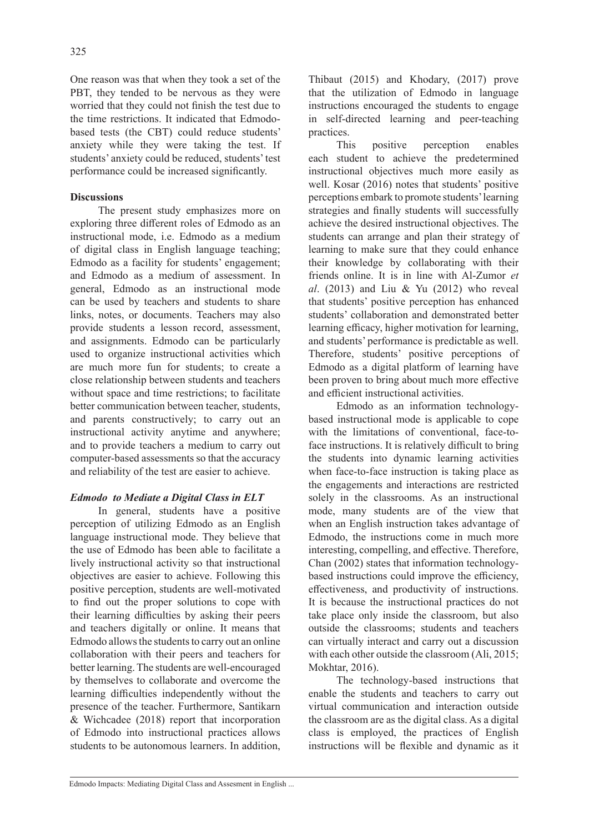One reason was that when they took a set of the PBT, they tended to be nervous as they were worried that they could not finish the test due to the time restrictions. It indicated that Edmodobased tests (the CBT) could reduce students' anxiety while they were taking the test. If students' anxiety could be reduced, students' test performance could be increased significantly.

## **Discussions**

The present study emphasizes more on exploring three different roles of Edmodo as an instructional mode, i.e. Edmodo as a medium of digital class in English language teaching; Edmodo as a facility for students' engagement; and Edmodo as a medium of assessment. In general, Edmodo as an instructional mode can be used by teachers and students to share links, notes, or documents. Teachers may also provide students a lesson record, assessment, and assignments. Edmodo can be particularly used to organize instructional activities which are much more fun for students; to create a close relationship between students and teachers without space and time restrictions; to facilitate better communication between teacher, students, and parents constructively; to carry out an instructional activity anytime and anywhere; and to provide teachers a medium to carry out computer-based assessments so that the accuracy and reliability of the test are easier to achieve.

# *Edmodo to Mediate a Digital Class in ELT*

In general, students have a positive perception of utilizing Edmodo as an English language instructional mode. They believe that the use of Edmodo has been able to facilitate a lively instructional activity so that instructional objectives are easier to achieve. Following this positive perception, students are well-motivated to find out the proper solutions to cope with their learning difficulties by asking their peers and teachers digitally or online. It means that Edmodo allows the students to carry out an online collaboration with their peers and teachers for better learning. The students are well-encouraged by themselves to collaborate and overcome the learning difficulties independently without the presence of the teacher. Furthermore, Santikarn & Wichcadee (2018) report that incorporation of Edmodo into instructional practices allows students to be autonomous learners. In addition, Thibaut (2015) and Khodary, (2017) prove that the utilization of Edmodo in language instructions encouraged the students to engage in self-directed learning and peer-teaching practices.

This positive perception enables each student to achieve the predetermined instructional objectives much more easily as well. Kosar (2016) notes that students' positive perceptions embark to promote students' learning strategies and finally students will successfully achieve the desired instructional objectives. The students can arrange and plan their strategy of learning to make sure that they could enhance their knowledge by collaborating with their friends online. It is in line with Al-Zumor *et al*. (2013) and Liu & Yu (2012) who reveal that students' positive perception has enhanced students' collaboration and demonstrated better learning efficacy, higher motivation for learning, and students' performance is predictable as well. Therefore, students' positive perceptions of Edmodo as a digital platform of learning have been proven to bring about much more effective and efficient instructional activities.

Edmodo as an information technologybased instructional mode is applicable to cope with the limitations of conventional, face-toface instructions. It is relatively difficult to bring the students into dynamic learning activities when face-to-face instruction is taking place as the engagements and interactions are restricted solely in the classrooms. As an instructional mode, many students are of the view that when an English instruction takes advantage of Edmodo, the instructions come in much more interesting, compelling, and effective. Therefore, Chan (2002) states that information technologybased instructions could improve the efficiency, effectiveness, and productivity of instructions. It is because the instructional practices do not take place only inside the classroom, but also outside the classrooms; students and teachers can virtually interact and carry out a discussion with each other outside the classroom (Ali, 2015; Mokhtar, 2016).

The technology-based instructions that enable the students and teachers to carry out virtual communication and interaction outside the classroom are as the digital class. As a digital class is employed, the practices of English instructions will be flexible and dynamic as it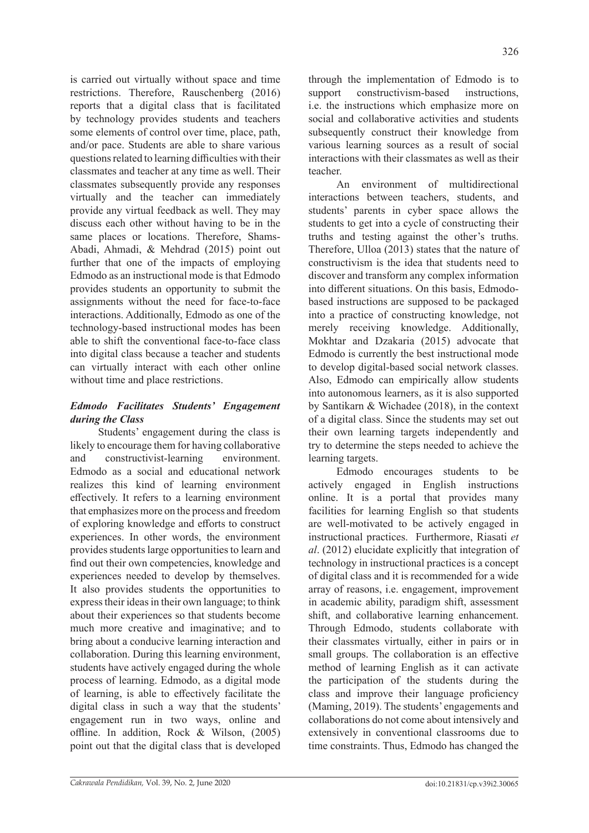is carried out virtually without space and time restrictions. Therefore, Rauschenberg (2016) reports that a digital class that is facilitated by technology provides students and teachers some elements of control over time, place, path, and/or pace. Students are able to share various questions related to learning difficulties with their classmates and teacher at any time as well. Their classmates subsequently provide any responses virtually and the teacher can immediately provide any virtual feedback as well. They may discuss each other without having to be in the same places or locations. Therefore, Shams-Abadi, Ahmadi, & Mehdrad (2015) point out further that one of the impacts of employing Edmodo as an instructional mode is that Edmodo provides students an opportunity to submit the assignments without the need for face-to-face interactions. Additionally, Edmodo as one of the technology-based instructional modes has been able to shift the conventional face-to-face class into digital class because a teacher and students can virtually interact with each other online without time and place restrictions.

# *Edmodo Facilitates Students' Engagement during the Class*

Students' engagement during the class is likely to encourage them for having collaborative and constructivist-learning environment. Edmodo as a social and educational network realizes this kind of learning environment effectively. It refers to a learning environment that emphasizes more on the process and freedom of exploring knowledge and efforts to construct experiences. In other words, the environment provides students large opportunities to learn and find out their own competencies, knowledge and experiences needed to develop by themselves. It also provides students the opportunities to express their ideas in their own language; to think about their experiences so that students become much more creative and imaginative; and to bring about a conducive learning interaction and collaboration. During this learning environment, students have actively engaged during the whole process of learning. Edmodo, as a digital mode of learning, is able to effectively facilitate the digital class in such a way that the students' engagement run in two ways, online and offline. In addition, Rock & Wilson, (2005) point out that the digital class that is developed through the implementation of Edmodo is to support constructivism-based instructions, i.e. the instructions which emphasize more on social and collaborative activities and students subsequently construct their knowledge from various learning sources as a result of social interactions with their classmates as well as their teacher.

An environment of multidirectional interactions between teachers, students, and students' parents in cyber space allows the students to get into a cycle of constructing their truths and testing against the other's truths. Therefore, Ulloa (2013) states that the nature of constructivism is the idea that students need to discover and transform any complex information into different situations. On this basis, Edmodobased instructions are supposed to be packaged into a practice of constructing knowledge, not merely receiving knowledge. Additionally, Mokhtar and Dzakaria (2015) advocate that Edmodo is currently the best instructional mode to develop digital-based social network classes. Also, Edmodo can empirically allow students into autonomous learners, as it is also supported by Santikarn & Wichadee (2018), in the context of a digital class. Since the students may set out their own learning targets independently and try to determine the steps needed to achieve the learning targets.

Edmodo encourages students to be actively engaged in English instructions online. It is a portal that provides many facilities for learning English so that students are well-motivated to be actively engaged in instructional practices. Furthermore, Riasati *et al*. (2012) elucidate explicitly that integration of technology in instructional practices is a concept of digital class and it is recommended for a wide array of reasons, i.e. engagement, improvement in academic ability, paradigm shift, assessment shift, and collaborative learning enhancement. Through Edmodo, students collaborate with their classmates virtually, either in pairs or in small groups. The collaboration is an effective method of learning English as it can activate the participation of the students during the class and improve their language proficiency (Maming, 2019). The students' engagements and collaborations do not come about intensively and extensively in conventional classrooms due to time constraints. Thus, Edmodo has changed the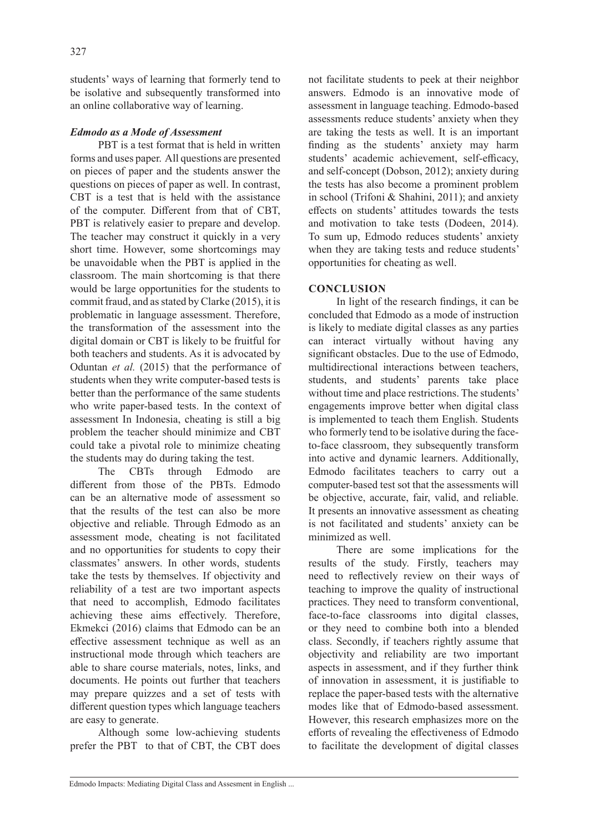students' ways of learning that formerly tend to be isolative and subsequently transformed into an online collaborative way of learning.

## *Edmodo as a Mode of Assessment*

PBT is a test format that is held in written forms and uses paper. All questions are presented on pieces of paper and the students answer the questions on pieces of paper as well. In contrast, CBT is a test that is held with the assistance of the computer. Different from that of CBT, PBT is relatively easier to prepare and develop. The teacher may construct it quickly in a very short time. However, some shortcomings may be unavoidable when the PBT is applied in the classroom. The main shortcoming is that there would be large opportunities for the students to commit fraud, and as stated by Clarke (2015), it is problematic in language assessment. Therefore, the transformation of the assessment into the digital domain or CBT is likely to be fruitful for both teachers and students. As it is advocated by Oduntan *et al.* (2015) that the performance of students when they write computer-based tests is better than the performance of the same students who write paper-based tests. In the context of assessment In Indonesia, cheating is still a big problem the teacher should minimize and CBT could take a pivotal role to minimize cheating the students may do during taking the test.

The CBTs through Edmodo are different from those of the PBTs. Edmodo can be an alternative mode of assessment so that the results of the test can also be more objective and reliable. Through Edmodo as an assessment mode, cheating is not facilitated and no opportunities for students to copy their classmates' answers. In other words, students take the tests by themselves. If objectivity and reliability of a test are two important aspects that need to accomplish, Edmodo facilitates achieving these aims effectively. Therefore, Ekmekci (2016) claims that Edmodo can be an effective assessment technique as well as an instructional mode through which teachers are able to share course materials, notes, links, and documents. He points out further that teachers may prepare quizzes and a set of tests with different question types which language teachers are easy to generate.

Although some low-achieving students prefer the PBT to that of CBT, the CBT does not facilitate students to peek at their neighbor answers. Edmodo is an innovative mode of assessment in language teaching. Edmodo-based assessments reduce students' anxiety when they are taking the tests as well. It is an important finding as the students' anxiety may harm students' academic achievement, self-efficacy, and self-concept (Dobson, 2012); anxiety during the tests has also become a prominent problem in school (Trifoni & Shahini, 2011); and anxiety effects on students' attitudes towards the tests and motivation to take tests (Dodeen, 2014). To sum up, Edmodo reduces students' anxiety when they are taking tests and reduce students' opportunities for cheating as well.

## **CONCLUSION**

In light of the research findings, it can be concluded that Edmodo as a mode of instruction is likely to mediate digital classes as any parties can interact virtually without having any significant obstacles. Due to the use of Edmodo, multidirectional interactions between teachers, students, and students' parents take place without time and place restrictions. The students' engagements improve better when digital class is implemented to teach them English. Students who formerly tend to be isolative during the faceto-face classroom, they subsequently transform into active and dynamic learners. Additionally, Edmodo facilitates teachers to carry out a computer-based test sot that the assessments will be objective, accurate, fair, valid, and reliable. It presents an innovative assessment as cheating is not facilitated and students' anxiety can be minimized as well.

There are some implications for the results of the study. Firstly, teachers may need to reflectively review on their ways of teaching to improve the quality of instructional practices. They need to transform conventional, face-to-face classrooms into digital classes, or they need to combine both into a blended class. Secondly, if teachers rightly assume that objectivity and reliability are two important aspects in assessment, and if they further think of innovation in assessment, it is justifiable to replace the paper-based tests with the alternative modes like that of Edmodo-based assessment. However, this research emphasizes more on the efforts of revealing the effectiveness of Edmodo to facilitate the development of digital classes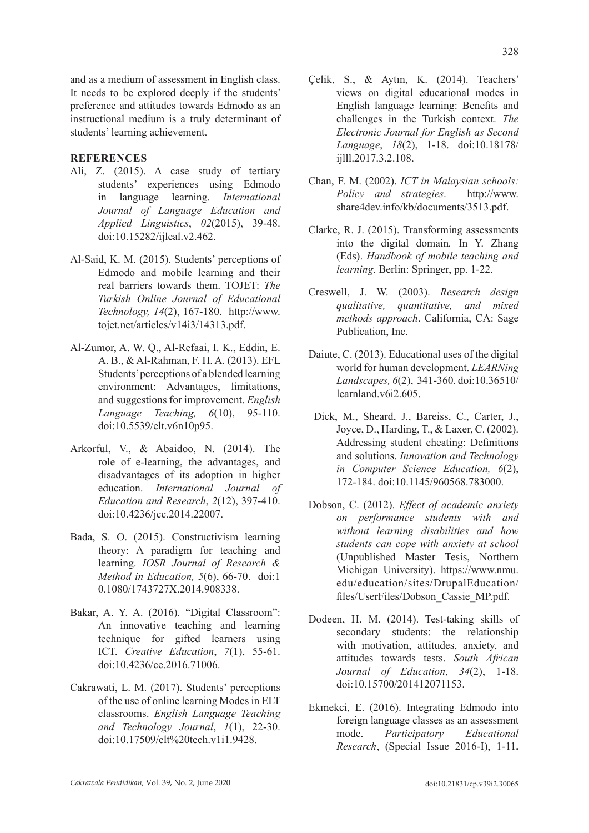and as a medium of assessment in English class. It needs to be explored deeply if the students' preference and attitudes towards Edmodo as an instructional medium is a truly determinant of students' learning achievement.

# **REFERENCES**

- Ali, Z. (2015). A case study of tertiary students' experiences using Edmodo in language learning. *International Journal of Language Education and Applied Linguistics*, *02*(2015), 39-48. doi:10.15282/ijleal.v2.462.
- Al-Said, K. M. (2015). Students' perceptions of Edmodo and mobile learning and their real barriers towards them. TOJET: *The Turkish Online Journal of Educational Technology, 14*(2), 167-180. http://www. tojet.net/articles/v14i3/14313.pdf.
- Al-Zumor, A. W. Q., Al-Refaai, I. K., Eddin, E. A. B., & Al-Rahman, F. H. A. (2013). EFL Students' perceptions of a blended learning environment: Advantages, limitations, and suggestions for improvement. *English Language Teaching, 6*(10), 95-110. doi:10.5539/elt.v6n10p95.
- Arkorful, V., & Abaidoo, N. (2014). The role of e-learning, the advantages, and disadvantages of its adoption in higher education. *International Journal of Education and Research*, *2*(12), 397-410. doi:10.4236/jcc.2014.22007.
- Bada, S. O. (2015). Constructivism learning theory: A paradigm for teaching and learning. *IOSR Journal of Research & Method in Education, 5*(6), 66-70. doi:1 0.1080/1743727X.2014.908338.
- Bakar, A. Y. A. (2016). "Digital Classroom": An innovative teaching and learning technique for gifted learners using ICT. *Creative Education*, *7*(1), 55-61. doi:10.4236/ce.2016.71006.
- Cakrawati, L. M. (2017). Students' perceptions of the use of online learning Modes in ELT classrooms. *English Language Teaching and Technology Journal*, *1*(1), 22-30. doi:10.17509/elt%20tech.v1i1.9428.

Çelik, S., & Aytın, K. (2014). Teachers' views on digital educational modes in English language learning: Benefits and challenges in the Turkish context. *The Electronic Journal for English as Second Language*, *18*(2), 1-18. doi:10.18178/ ijlll.2017.3.2.108.

328

- Chan, F. M. (2002). *ICT in Malaysian schools: Policy and strategies*. http://www. share4dev.info/kb/documents/3513.pdf.
- Clarke, R. J. (2015). Transforming assessments into the digital domain*.* In Y. Zhang (Eds). *Handbook of mobile teaching and learning*. Berlin: Springer, pp. 1-22.
- Creswell, J. W. (2003). *Research design qualitative, quantitative, and mixed methods approach*. California, CA: Sage Publication, Inc.
- Daiute, C. (2013). Educational uses of the digital world for human development. *LEARNing Landscapes, 6*(2), 341-360. doi:10.36510/ learnland.v6i2.605.
- Dick, M., Sheard, J., Bareiss, C., Carter, J., Joyce, D., Harding, T., & Laxer, C. (2002). Addressing student cheating: Definitions and solutions. *Innovation and Technology in Computer Science Education, 6*(2), 172-184. doi:10.1145/960568.783000.
- Dobson, C. (2012). *Effect of academic anxiety on performance students with and without learning disabilities and how students can cope with anxiety at school*  (Unpublished Master Tesis, Northern Michigan University). https://www.nmu. edu/education/sites/DrupalEducation/ files/UserFiles/Dobson\_Cassie\_MP.pdf.
- Dodeen, H. M. (2014). Test-taking skills of secondary students: the relationship with motivation, attitudes, anxiety, and attitudes towards tests. *South African Journal of Education*, *34*(2), 1-18. doi:10.15700/201412071153.
- Ekmekci, E. (2016). Integrating Edmodo into foreign language classes as an assessment mode. *Participatory Educational Research*, (Special Issue 2016-I), 1-11**.**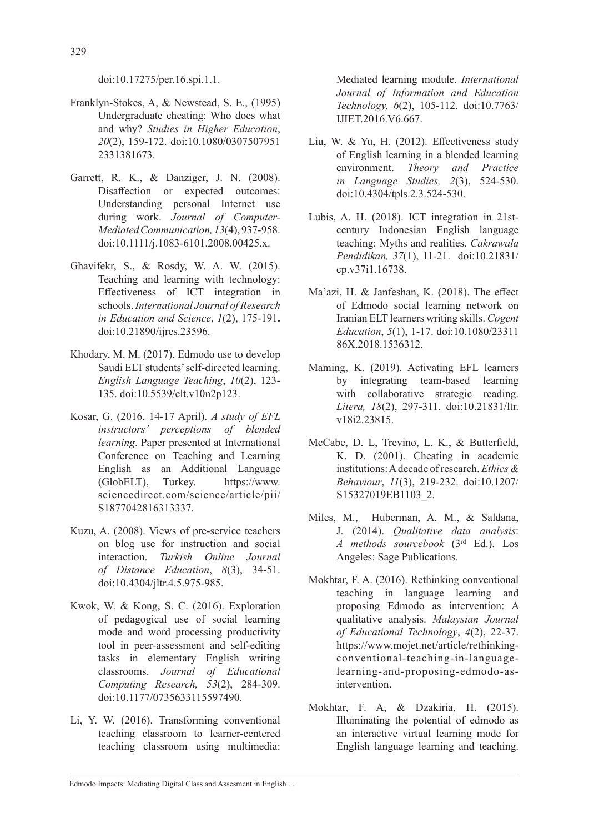doi:10.17275/per.16.spi.1.1.

- Franklyn-Stokes, A, & Newstead, S. E., (1995) Undergraduate cheating: Who does what and why? *Studies in Higher Education*, *20*(2), 159-172. doi:10.1080/0307507951 2331381673.
- Garrett, R. K., & Danziger, J. N. (2008). Disaffection or expected outcomes: Understanding personal Internet use during work. *Journal of Computer-Mediated Communication,13*(4), 937-958. doi:10.1111/j.1083-6101.2008.00425.x.
- Ghavifekr, S., & Rosdy, W. A. W. (2015). Teaching and learning with technology: Effectiveness of ICT integration in schools. *International Journal of Research in Education and Science*, *1*(2), 175-191**.**  doi:10.21890/ijres.23596.
- Khodary, M. M. (2017). Edmodo use to develop Saudi ELT students' self-directed learning. *English Language Teaching*, *10*(2), 123- 135. doi:10.5539/elt.v10n2p123.
- Kosar, G. (2016, 14-17 April). *A study of EFL instructors' perceptions of blended learning*. Paper presented at International Conference on Teaching and Learning English as an Additional Language (GlobELT), Turkey. https://www. sciencedirect.com/science/article/pii/ S1877042816313337.
- Kuzu, A. (2008). Views of pre-service teachers on blog use for instruction and social interaction. *Turkish Online Journal of Distance Education*, *8*(3), 34-51. doi:10.4304/jltr.4.5.975-985.
- Kwok, W. & Kong, S. C. (2016). Exploration of pedagogical use of social learning mode and word processing productivity tool in peer-assessment and self-editing tasks in elementary English writing classrooms. *Journal of Educational Computing Research, 53*(2), 284-309. doi:10.1177/0735633115597490.
- Li, Y. W. (2016). Transforming conventional teaching classroom to learner-centered teaching classroom using multimedia:

Mediated learning module. *International Journal of Information and Education Technology, 6*(2), 105-112. doi:10.7763/ IJIET.2016.V6.667.

- Liu, W. & Yu, H. (2012). Effectiveness study of English learning in a blended learning environment. *Theory and Practice in Language Studies, 2*(3), 524-530. doi:10.4304/tpls.2.3.524-530.
- Lubis, A. H. (2018). ICT integration in 21stcentury Indonesian English language teaching: Myths and realities. *Cakrawala Pendidikan, 37*(1), 11-21. doi:10.21831/ cp.v37i1.16738.
- Ma'azi, H. & Janfeshan, K. (2018). The effect of Edmodo social learning network on Iranian ELT learners writing skills. *Cogent Education*, *5*(1), 1-17. doi:10.1080/23311 86X.2018.1536312.
- Maming, K. (2019). Activating EFL learners by integrating team-based learning with collaborative strategic reading. *Litera, 18*(2), 297-311. doi:10.21831/ltr. v18i2.23815.
- McCabe, D. L, Trevino, L. K., & Butterfield, K. D. (2001). Cheating in academic institutions: A decade of research. *Ethics & Behaviour*, *11*(3), 219-232. doi:10.1207/ S15327019EB1103\_2.
- Miles, M., Huberman, A. M., & Saldana, J. (2014). *Qualitative data analysis*: *A methods sourcebook* (3rd Ed.). Los Angeles: Sage Publications.
- Mokhtar, F. A. (2016). Rethinking conventional teaching in language learning and proposing Edmodo as intervention: A qualitative analysis. *Malaysian Journal of Educational Technology*, *4*(2), 22-37. https://www.mojet.net/article/rethinkingconventional-teaching-in-languagelearning-and-proposing-edmodo-asintervention.
- Mokhtar, F. A, & Dzakiria, H. (2015). Illuminating the potential of edmodo as an interactive virtual learning mode for English language learning and teaching.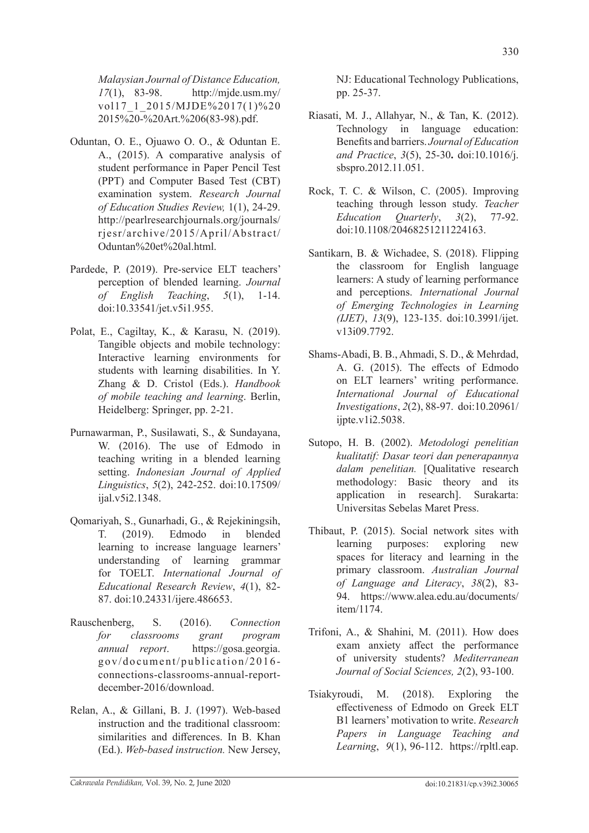*Malaysian Journal of Distance Education, 17*(1), 83-98. http://mjde.usm.my/ vol17\_1\_2015/MJDE%2017(1)%20 2015%20-%20Art.%206(83-98).pdf.

- Oduntan, O. E., Ojuawo O. O., & Oduntan E. A., (2015). A comparative analysis of student performance in Paper Pencil Test (PPT) and Computer Based Test (CBT) examination system. *Research Journal of Education Studies Review,* 1(1), 24-29. http://pearlresearchjournals.org/journals/ rjesr/archive/2015/April/Abstract/ Oduntan%20et%20al.html.
- Pardede, P. (2019). Pre-service ELT teachers' perception of blended learning. *Journal of English Teaching*, *5*(1), 1-14. doi:10.33541/jet.v5i1.955.
- Polat, E., Cagiltay, K., & Karasu, N. (2019). Tangible objects and mobile technology: Interactive learning environments for students with learning disabilities. In Y. Zhang & D. Cristol (Eds.). *Handbook of mobile teaching and learning*. Berlin, Heidelberg: Springer, pp. 2-21.
- Purnawarman, P., Susilawati, S., & Sundayana, W. (2016). The use of Edmodo in teaching writing in a blended learning setting. *Indonesian Journal of Applied Linguistics*, *5*(2), 242-252. doi:10.17509/ ijal.v5i2.1348.
- Qomariyah, S., Gunarhadi, G., & Rejekiningsih, T. (2019). Edmodo in blended learning to increase language learners' understanding of learning grammar for TOELT. *International Journal of Educational Research Review*, *4*(1), 82- 87. doi:10.24331/ijere.486653.
- Rauschenberg, S. (2016). *Connection for classrooms grant program annual report*. https://gosa.georgia. gov/document/publication/2016 connections-classrooms-annual-reportdecember-2016/download.
- Relan, A., & Gillani, B. J. (1997). Web-based instruction and the traditional classroom: similarities and differences. In B. Khan (Ed.). *Web-based instruction.* New Jersey,

NJ: Educational Technology Publications, pp. 25-37.

- Riasati, M. J., Allahyar, N., & Tan, K. (2012). Technology in language education: Benefits and barriers. *Journal of Education and Practice*, *3*(5), 25-30**.** doi:10.1016/j. sbspro.2012.11.051.
- Rock, T. C. & Wilson, C. (2005). Improving teaching through lesson study. *Teacher Education Quarterly*, *3*(2), 77-92. doi:10.1108/20468251211224163.
- Santikarn, B. & Wichadee, S. (2018). Flipping the classroom for English language learners: A study of learning performance and perceptions. *International Journal of Emerging Technologies in Learning (IJET)*, *13*(9), 123-135. doi:10.3991/ijet. v13i09.7792.
- Shams-Abadi, B. B., Ahmadi, S. D., & Mehrdad, A. G. (2015). The effects of Edmodo on ELT learners' writing performance. *International Journal of Educational Investigations*, *2*(2), 88-97. doi:10.20961/ ijpte.v1i2.5038.
- Sutopo, H. B. (2002). *Metodologi penelitian kualitatif: Dasar teori dan penerapannya dalam penelitian.* [Qualitative research methodology: Basic theory and its application in research]. Surakarta: Universitas Sebelas Maret Press.
- Thibaut, P. (2015). Social network sites with learning purposes: exploring new spaces for literacy and learning in the primary classroom. *Australian Journal of Language and Literacy*, *38*(2), 83- 94. https://www.alea.edu.au/documents/ item/1174.
- Trifoni, A., & Shahini, M. (2011). How does exam anxiety affect the performance of university students? *Mediterranean Journal of Social Sciences, 2*(2), 93-100.
- Tsiakyroudi, M. (2018). Exploring the effectiveness of Edmodo on Greek ELT B1 learners' motivation to write. *Research Papers in Language Teaching and Learning*, *9*(1), 96-112. https://rpltl.eap.